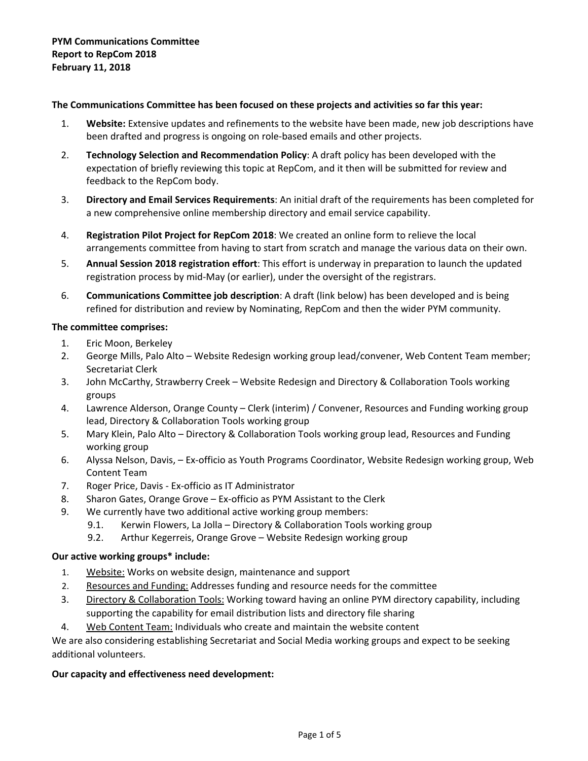#### **The Communications Committee has been focused on these projects and activities so far this year:**

- 1. **Website:** Extensive updates and refinements to the website have been made, new job descriptions have been drafted and progress is ongoing on role-based emails and other projects.
- 2. **Technology Selection and Recommendation Policy**: A draft policy has been developed with the expectation of briefly reviewing this topic at RepCom, and it then will be submitted for review and feedback to the RepCom body.
- 3. **Directory and Email Services Requirements**: An initial draft of the requirements has been completed for a new comprehensive online membership directory and email service capability.
- 4. **Registration Pilot Project for RepCom 2018**: We created an online form to relieve the local arrangements committee from having to start from scratch and manage the various data on their own.
- 5. **Annual Session 2018 registration effort**: This effort is underway in preparation to launch the updated registration process by mid-May (or earlier), under the oversight of the registrars.
- 6. **Communications Committee job description**: A draft (link below) has been developed and is being refined for distribution and review by Nominating, RepCom and then the wider PYM community.

#### **The committee comprises:**

- 1. Eric Moon, Berkeley
- 2. George Mills, Palo Alto Website Redesign working group lead/convener, Web Content Team member; Secretariat Clerk
- 3. John McCarthy, Strawberry Creek Website Redesign and Directory & Collaboration Tools working groups
- 4. Lawrence Alderson, Orange County Clerk (interim) / Convener, Resources and Funding working group lead, Directory & Collaboration Tools working group
- 5. Mary Klein, Palo Alto Directory & Collaboration Tools working group lead, Resources and Funding working group
- 6. Alyssa Nelson, Davis, Ex-officio as Youth Programs Coordinator, Website Redesign working group, Web Content Team
- 7. Roger Price, Davis Ex-officio as IT Administrator
- 8. Sharon Gates, Orange Grove Ex-officio as PYM Assistant to the Clerk
- 9. We currently have two additional active working group members:
	- 9.1. Kerwin Flowers, La Jolla Directory & Collaboration Tools working group
	- 9.2. Arthur Kegerreis, Orange Grove Website Redesign working group

#### **Our active working groups\* include:**

- 1. Website: Works on website design, maintenance and support
- 2. Resources and Funding: Addresses funding and resource needs for the committee
- 3. Directory & Collaboration Tools: Working toward having an online PYM directory capability, including supporting the capability for email distribution lists and directory file sharing
- 4. Web Content Team: Individuals who create and maintain the website content

We are also considering establishing Secretariat and Social Media working groups and expect to be seeking additional volunteers.

#### **Our capacity and effectiveness need development:**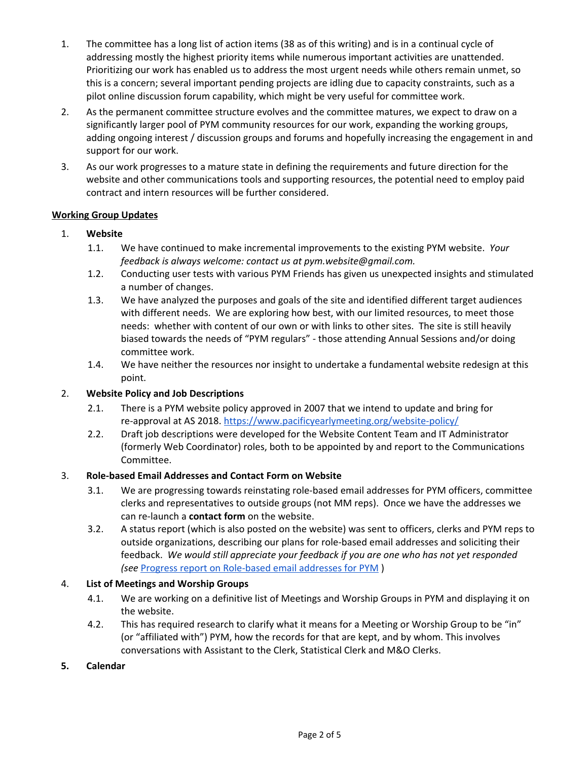- 1. The committee has a long list of action items (38 as of this writing) and is in a continual cycle of addressing mostly the highest priority items while numerous important activities are unattended. Prioritizing our work has enabled us to address the most urgent needs while others remain unmet, so this is a concern; several important pending projects are idling due to capacity constraints, such as a pilot online discussion forum capability, which might be very useful for committee work.
- 2. As the permanent committee structure evolves and the committee matures, we expect to draw on a significantly larger pool of PYM community resources for our work, expanding the working groups, adding ongoing interest / discussion groups and forums and hopefully increasing the engagement in and support for our work.
- 3. As our work progresses to a mature state in defining the requirements and future direction for the website and other communications tools and supporting resources, the potential need to employ paid contract and intern resources will be further considered.

#### **Working Group Updates**

- 1. **Website**
	- 1.1. We have continued to make incremental improvements to the existing PYM website. *Your feedback is always welcome: contact us at pym.website@gmail.com.*
	- 1.2. Conducting user tests with various PYM Friends has given us unexpected insights and stimulated a number of changes.
	- 1.3. We have analyzed the purposes and goals of the site and identified different target audiences with different needs. We are exploring how best, with our limited resources, to meet those needs: whether with content of our own or with links to other sites. The site is still heavily biased towards the needs of "PYM regulars" - those attending Annual Sessions and/or doing committee work.
	- 1.4. We have neither the resources nor insight to undertake a fundamental website redesign at this point.

## 2. **Website Policy and Job Descriptions**

- 2.1. There is a PYM website policy approved in 2007 that we intend to update and bring for re-approval at AS 2018. <https://www.pacificyearlymeeting.org/website-policy/>
- 2.2. Draft job descriptions were developed for the Website Content Team and IT Administrator (formerly Web Coordinator) roles, both to be appointed by and report to the Communications Committee.

### 3. **Role-based Email Addresses and Contact Form on Website**

- 3.1. We are progressing towards reinstating role-based email addresses for PYM officers, committee clerks and representatives to outside groups (not MM reps). Once we have the addresses we can re-launch a **contact form** on the website.
- 3.2. A status report (which is also posted on the website) was sent to officers, clerks and PYM reps to outside organizations, describing our plans for role-based email addresses and soliciting their feedback. *We would still appreciate your feedback if you are one who has not yet responded (see* Progress report on [Role-based](https://www.pacificyearlymeeting.org/2018/documents/pym-committee-reports/communications-committee/role-based-email-addresses-for-pym-a-progress-report/) email addresses for PYM )

### 4. **List of Meetings and Worship Groups**

- 4.1. We are working on a definitive list of Meetings and Worship Groups in PYM and displaying it on the website.
- 4.2. This has required research to clarify what it means for a Meeting or Worship Group to be "in" (or "affiliated with") PYM, how the records for that are kept, and by whom. This involves conversations with Assistant to the Clerk, Statistical Clerk and M&O Clerks.
- **5. Calendar**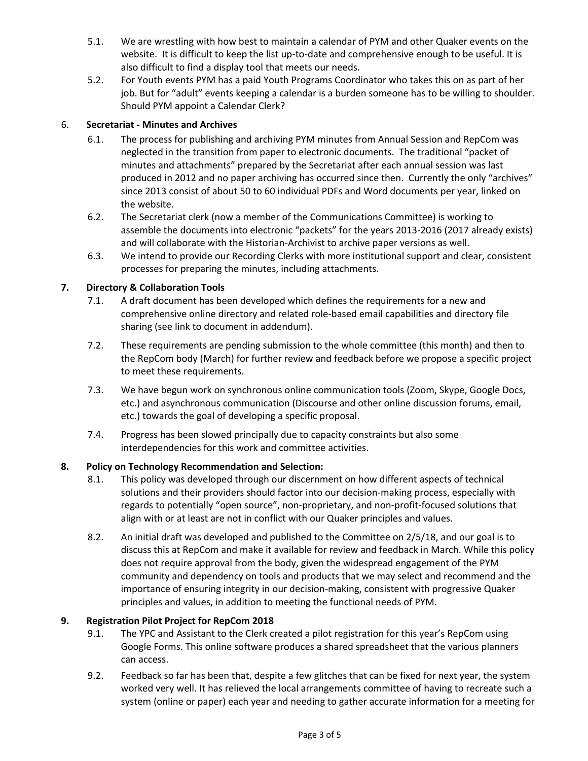- 5.1. We are wrestling with how best to maintain a calendar of PYM and other Quaker events on the website. It is difficult to keep the list up-to-date and comprehensive enough to be useful. It is also difficult to find a display tool that meets our needs.
- 5.2. For Youth events PYM has a paid Youth Programs Coordinator who takes this on as part of her job. But for "adult" events keeping a calendar is a burden someone has to be willing to shoulder. Should PYM appoint a Calendar Clerk?

## 6. **Secretariat - Minutes and Archives**

- 6.1. The process for publishing and archiving PYM minutes from Annual Session and RepCom was neglected in the transition from paper to electronic documents. The traditional "packet of minutes and attachments" prepared by the Secretariat after each annual session was last produced in 2012 and no paper archiving has occurred since then. Currently the only "archives" since 2013 consist of about 50 to 60 individual PDFs and Word documents per year, linked on the website.
- 6.2. The Secretariat clerk (now a member of the Communications Committee) is working to assemble the documents into electronic "packets" for the years 2013-2016 (2017 already exists) and will collaborate with the Historian-Archivist to archive paper versions as well.
- 6.3. We intend to provide our Recording Clerks with more institutional support and clear, consistent processes for preparing the minutes, including attachments.

# **7. Directory & Collaboration Tools**

- 7.1. A draft document has been developed which defines the requirements for a new and comprehensive online directory and related role-based email capabilities and directory file sharing (see link to document in addendum).
- 7.2. These requirements are pending submission to the whole committee (this month) and then to the RepCom body (March) for further review and feedback before we propose a specific project to meet these requirements.
- 7.3. We have begun work on synchronous online communication tools (Zoom, Skype, Google Docs, etc.) and asynchronous communication (Discourse and other online discussion forums, email, etc.) towards the goal of developing a specific proposal.
- 7.4. Progress has been slowed principally due to capacity constraints but also some interdependencies for this work and committee activities.

## **8. Policy on Technology Recommendation and Selection:**

- 8.1. This policy was developed through our discernment on how different aspects of technical solutions and their providers should factor into our decision-making process, especially with regards to potentially "open source", non-proprietary, and non-profit-focused solutions that align with or at least are not in conflict with our Quaker principles and values.
- 8.2. An initial draft was developed and published to the Committee on 2/5/18, and our goal is to discuss this at RepCom and make it available for review and feedback in March. While this policy does not require approval from the body, given the widespread engagement of the PYM community and dependency on tools and products that we may select and recommend and the importance of ensuring integrity in our decision-making, consistent with progressive Quaker principles and values, in addition to meeting the functional needs of PYM.

## **9. Registration Pilot Project for RepCom 2018**

- 9.1. The YPC and Assistant to the Clerk created a pilot registration for this year's RepCom using Google Forms. This online software produces a shared spreadsheet that the various planners can access.
- 9.2. Feedback so far has been that, despite a few glitches that can be fixed for next year, the system worked very well. It has relieved the local arrangements committee of having to recreate such a system (online or paper) each year and needing to gather accurate information for a meeting for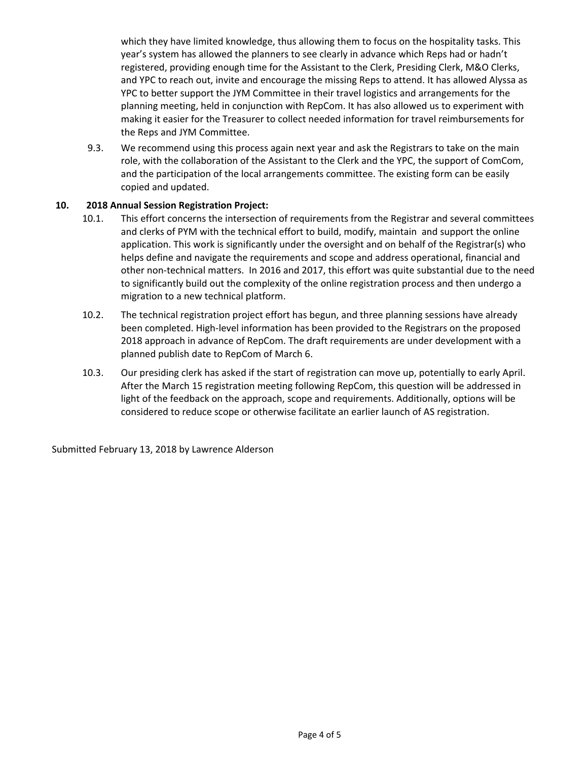which they have limited knowledge, thus allowing them to focus on the hospitality tasks. This year's system has allowed the planners to see clearly in advance which Reps had or hadn't registered, providing enough time for the Assistant to the Clerk, Presiding Clerk, M&O Clerks, and YPC to reach out, invite and encourage the missing Reps to attend. It has allowed Alyssa as YPC to better support the JYM Committee in their travel logistics and arrangements for the planning meeting, held in conjunction with RepCom. It has also allowed us to experiment with making it easier for the Treasurer to collect needed information for travel reimbursements for the Reps and JYM Committee.

9.3. We recommend using this process again next year and ask the Registrars to take on the main role, with the collaboration of the Assistant to the Clerk and the YPC, the support of ComCom, and the participation of the local arrangements committee. The existing form can be easily copied and updated.

#### **10. 2018 Annual Session Registration Project:**

- 10.1. This effort concerns the intersection of requirements from the Registrar and several committees and clerks of PYM with the technical effort to build, modify, maintain and support the online application. This work is significantly under the oversight and on behalf of the Registrar(s) who helps define and navigate the requirements and scope and address operational, financial and other non-technical matters. In 2016 and 2017, this effort was quite substantial due to the need to significantly build out the complexity of the online registration process and then undergo a migration to a new technical platform.
- 10.2. The technical registration project effort has begun, and three planning sessions have already been completed. High-level information has been provided to the Registrars on the proposed 2018 approach in advance of RepCom. The draft requirements are under development with a planned publish date to RepCom of March 6.
- 10.3. Our presiding clerk has asked if the start of registration can move up, potentially to early April. After the March 15 registration meeting following RepCom, this question will be addressed in light of the feedback on the approach, scope and requirements. Additionally, options will be considered to reduce scope or otherwise facilitate an earlier launch of AS registration.

Submitted February 13, 2018 by Lawrence Alderson